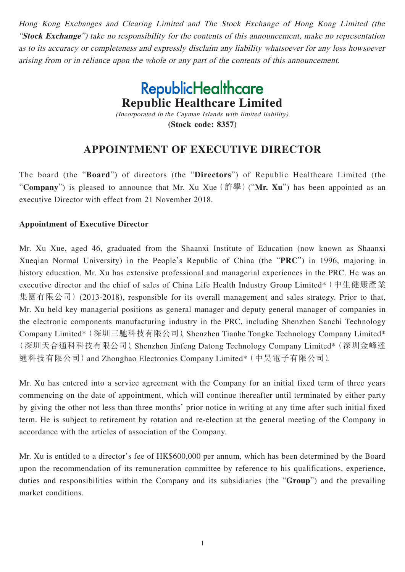Hong Kong Exchanges and Clearing Limited and The Stock Exchange of Hong Kong Limited (the "**Stock Exchange**") take no responsibility for the contents of this announcement, make no representation as to its accuracy or completeness and expressly disclaim any liability whatsoever for any loss howsoever arising from or in reliance upon the whole or any part of the contents of this announcement.

> **RepublicHealthcare Republic Healthcare Limited** (Incorporated in the Cayman Islands with limited liability)

> > **(Stock code: 8357)**

## **APPOINTMENT OF EXECUTIVE DIRECTOR**

The board (the "**Board**") of directors (the "**Directors**") of Republic Healthcare Limited (the "**Company**") is pleased to announce that Mr. Xu Xue(許學)("**Mr. Xu**") has been appointed as an executive Director with effect from 21 November 2018.

## **Appointment of Executive Director**

Mr. Xu Xue, aged 46, graduated from the Shaanxi Institute of Education (now known as Shaanxi Xueqian Normal University) in the People's Republic of China (the "**PRC**") in 1996, majoring in history education. Mr. Xu has extensive professional and managerial experiences in the PRC. He was an executive director and the chief of sales of China Life Health Industry Group Limited\*(中生健康產業 集團有限公司) (2013-2018), responsible for its overall management and sales strategy. Prior to that, Mr. Xu held key managerial positions as general manager and deputy general manager of companies in the electronic components manufacturing industry in the PRC, including Shenzhen Sanchi Technology Company Limited\*(深圳三馳科技有限公司), Shenzhen Tianhe Tongke Technology Company Limited\* (深圳天合通科科技有限公司), Shenzhen Jinfeng Datong Technology Company Limited\*(深圳金峰達 通科技有限公司)and Zhonghao Electronics Company Limited\*(中昊電子有限公司).

Mr. Xu has entered into a service agreement with the Company for an initial fixed term of three years commencing on the date of appointment, which will continue thereafter until terminated by either party by giving the other not less than three months' prior notice in writing at any time after such initial fixed term. He is subject to retirement by rotation and re-election at the general meeting of the Company in accordance with the articles of association of the Company.

Mr. Xu is entitled to a director's fee of HK\$600,000 per annum, which has been determined by the Board upon the recommendation of its remuneration committee by reference to his qualifications, experience, duties and responsibilities within the Company and its subsidiaries (the "**Group**") and the prevailing market conditions.